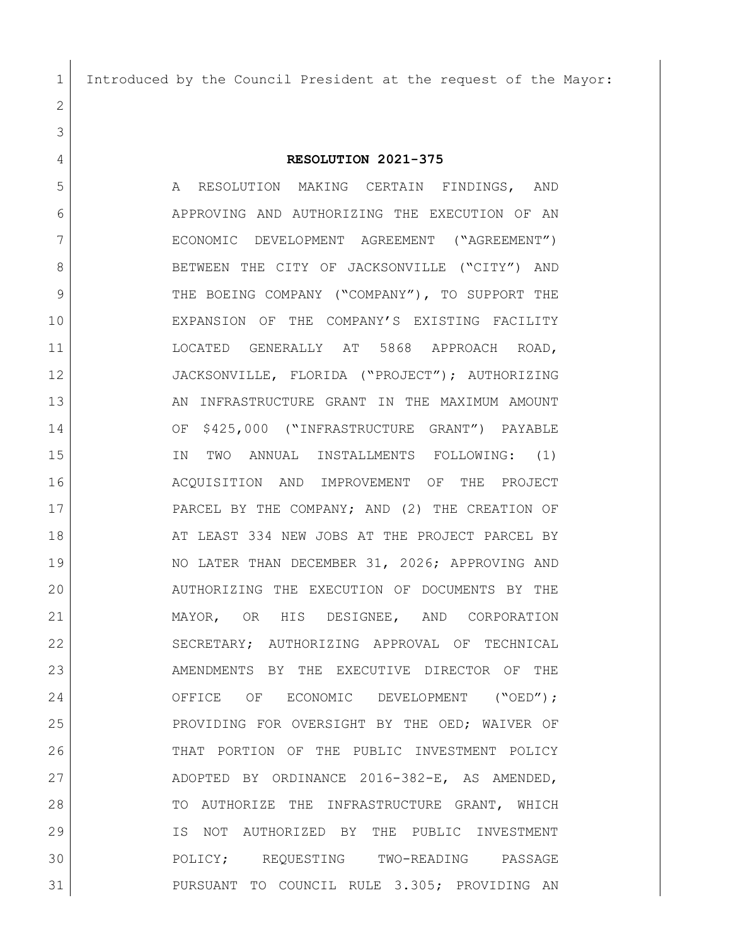Introduced by the Council President at the request of the Mayor:

**RESOLUTION 2021-375**

5 A RESOLUTION MAKING CERTAIN FINDINGS, AND APPROVING AND AUTHORIZING THE EXECUTION OF AN ECONOMIC DEVELOPMENT AGREEMENT ("AGREEMENT") 8 BETWEEN THE CITY OF JACKSONVILLE ("CITY") AND 9 THE BOEING COMPANY ("COMPANY"), TO SUPPORT THE EXPANSION OF THE COMPANY'S EXISTING FACILITY LOCATED GENERALLY AT 5868 APPROACH ROAD, JACKSONVILLE, FLORIDA ("PROJECT"); AUTHORIZING 13 AN INFRASTRUCTURE GRANT IN THE MAXIMUM AMOUNT OF \$425,000 ("INFRASTRUCTURE GRANT") PAYABLE IN TWO ANNUAL INSTALLMENTS FOLLOWING: (1) ACQUISITION AND IMPROVEMENT OF THE PROJECT PARCEL BY THE COMPANY; AND (2) THE CREATION OF 18 AT LEAST 334 NEW JOBS AT THE PROJECT PARCEL BY NO LATER THAN DECEMBER 31, 2026; APPROVING AND AUTHORIZING THE EXECUTION OF DOCUMENTS BY THE MAYOR, OR HIS DESIGNEE, AND CORPORATION SECRETARY; AUTHORIZING APPROVAL OF TECHNICAL 23 AMENDMENTS BY THE EXECUTIVE DIRECTOR OF THE 24 OFFICE OF ECONOMIC DEVELOPMENT ("OED"); PROVIDING FOR OVERSIGHT BY THE OED; WAIVER OF THAT PORTION OF THE PUBLIC INVESTMENT POLICY ADOPTED BY ORDINANCE 2016-382-E, AS AMENDED, 28 TO AUTHORIZE THE INFRASTRUCTURE GRANT, WHICH IS NOT AUTHORIZED BY THE PUBLIC INVESTMENT POLICY; REQUESTING TWO-READING PASSAGE PURSUANT TO COUNCIL RULE 3.305; PROVIDING AN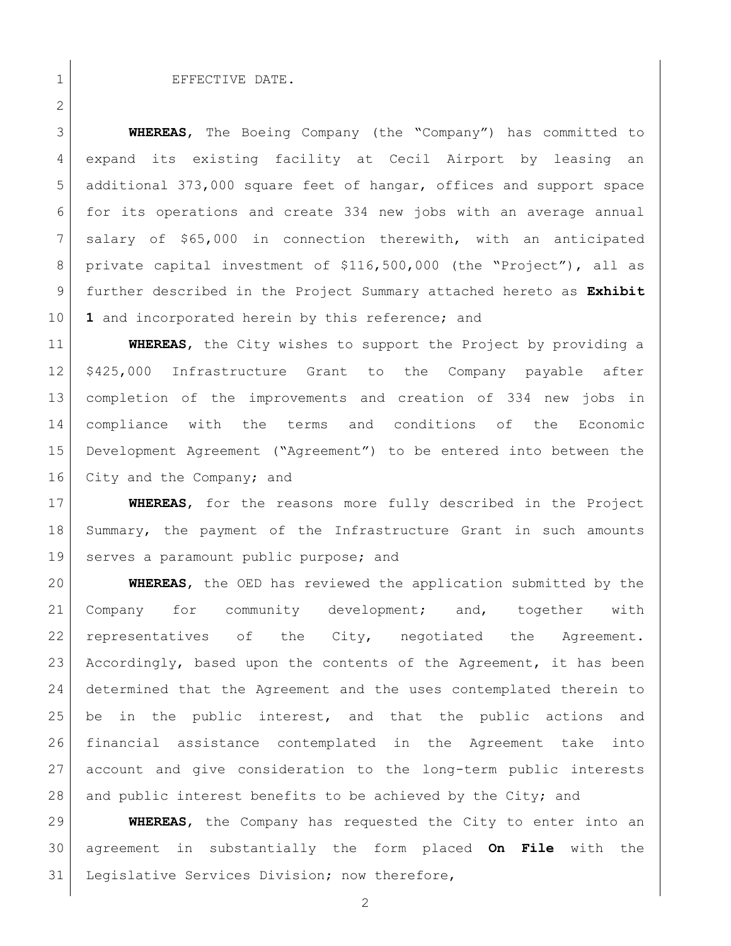## 1 EFFECTIVE DATE.

 **WHEREAS**, The Boeing Company (the "Company") has committed to expand its existing facility at Cecil Airport by leasing an additional 373,000 square feet of hangar, offices and support space for its operations and create 334 new jobs with an average annual salary of \$65,000 in connection therewith, with an anticipated private capital investment of \$116,500,000 (the "Project"), all as further described in the Project Summary attached hereto as **Exhibit 1** and incorporated herein by this reference; and

 **WHEREAS**, the City wishes to support the Project by providing a \$425,000 Infrastructure Grant to the Company payable after completion of the improvements and creation of 334 new jobs in compliance with the terms and conditions of the Economic Development Agreement ("Agreement") to be entered into between the 16 City and the Company; and

 **WHEREAS**, for the reasons more fully described in the Project Summary, the payment of the Infrastructure Grant in such amounts 19 serves a paramount public purpose; and

 **WHEREAS**, the OED has reviewed the application submitted by the 21 Company for community development; and, together with representatives of the City, negotiated the Agreement. 23 Accordingly, based upon the contents of the Agreement, it has been determined that the Agreement and the uses contemplated therein to be in the public interest, and that the public actions and financial assistance contemplated in the Agreement take into account and give consideration to the long-term public interests 28 and public interest benefits to be achieved by the City; and

 **WHEREAS**, the Company has requested the City to enter into an agreement in substantially the form placed **On File** with the Legislative Services Division; now therefore,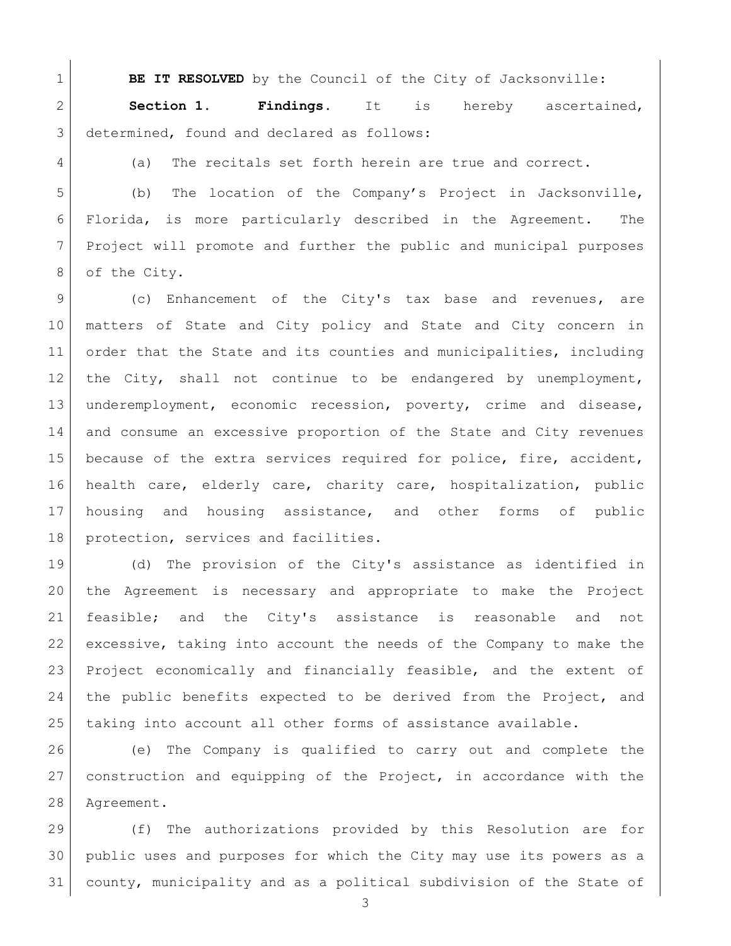**BE IT RESOLVED** by the Council of the City of Jacksonville:

 **Section 1. Findings.** It is hereby ascertained, 3 determined, found and declared as follows:

(a) The recitals set forth herein are true and correct.

 (b) The location of the Company's Project in Jacksonville, Florida, is more particularly described in the Agreement. The Project will promote and further the public and municipal purposes 8 of the City.

 (c) Enhancement of the City's tax base and revenues, are matters of State and City policy and State and City concern in order that the State and its counties and municipalities, including the City, shall not continue to be endangered by unemployment, underemployment, economic recession, poverty, crime and disease, and consume an excessive proportion of the State and City revenues because of the extra services required for police, fire, accident, health care, elderly care, charity care, hospitalization, public housing and housing assistance, and other forms of public 18 | protection, services and facilities.

 (d) The provision of the City's assistance as identified in the Agreement is necessary and appropriate to make the Project feasible; and the City's assistance is reasonable and not excessive, taking into account the needs of the Company to make the Project economically and financially feasible, and the extent of 24 the public benefits expected to be derived from the Project, and 25 | taking into account all other forms of assistance available.

 (e) The Company is qualified to carry out and complete the construction and equipping of the Project, in accordance with the Agreement.

 (f) The authorizations provided by this Resolution are for public uses and purposes for which the City may use its powers as a county, municipality and as a political subdivision of the State of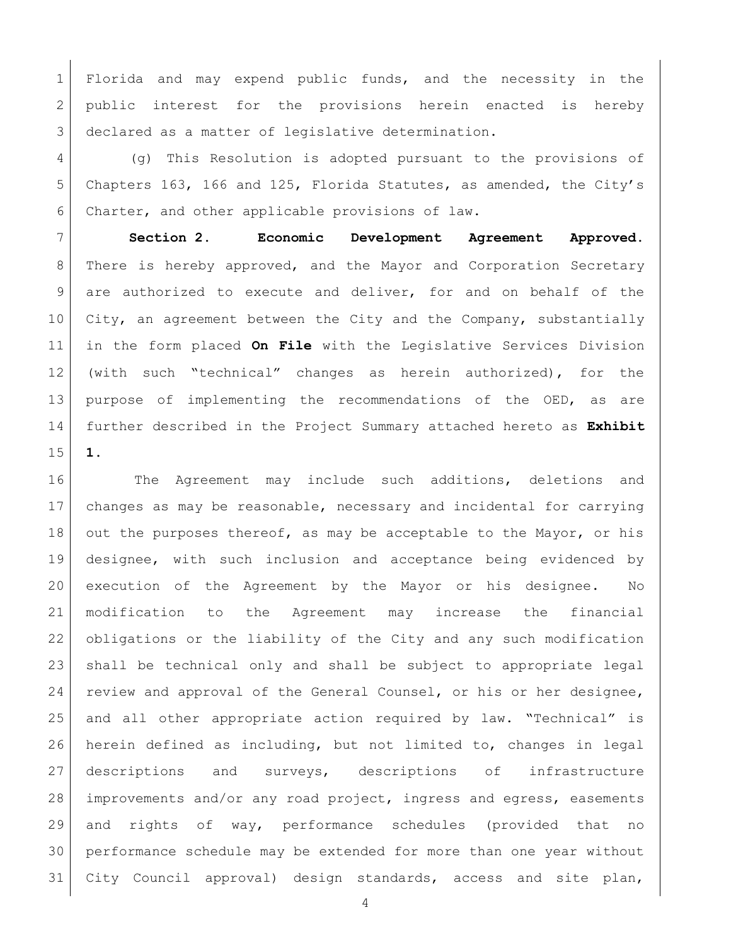Florida and may expend public funds, and the necessity in the 2 public interest for the provisions herein enacted is hereby 3 declared as a matter of legislative determination.

 (g) This Resolution is adopted pursuant to the provisions of Chapters 163, 166 and 125, Florida Statutes, as amended, the City's Charter, and other applicable provisions of law.

 **Section 2. Economic Development Agreement Approved.** There is hereby approved, and the Mayor and Corporation Secretary are authorized to execute and deliver, for and on behalf of the 10 City, an agreement between the City and the Company, substantially in the form placed **On File** with the Legislative Services Division (with such "technical" changes as herein authorized), for the purpose of implementing the recommendations of the OED, as are further described in the Project Summary attached hereto as **Exhibit 1**.

16 The Agreement may include such additions, deletions and changes as may be reasonable, necessary and incidental for carrying 18 out the purposes thereof, as may be acceptable to the Mayor, or his designee, with such inclusion and acceptance being evidenced by execution of the Agreement by the Mayor or his designee. No modification to the Agreement may increase the financial obligations or the liability of the City and any such modification shall be technical only and shall be subject to appropriate legal 24 review and approval of the General Counsel, or his or her designee, and all other appropriate action required by law. "Technical" is herein defined as including, but not limited to, changes in legal descriptions and surveys, descriptions of infrastructure improvements and/or any road project, ingress and egress, easements and rights of way, performance schedules (provided that no performance schedule may be extended for more than one year without City Council approval) design standards, access and site plan,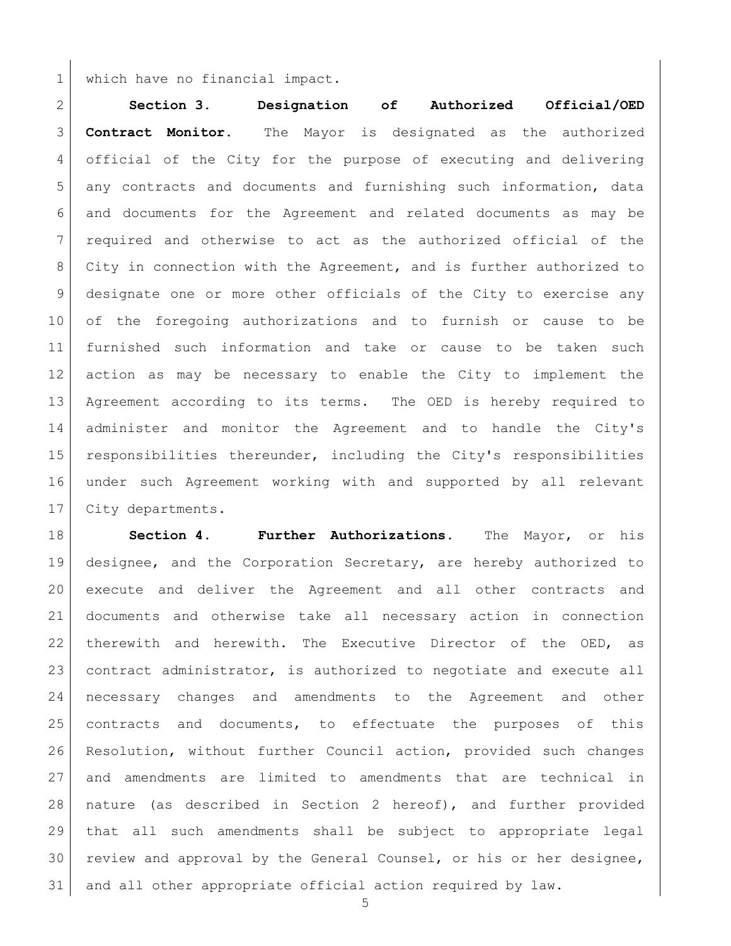which have no financial impact.

 **Section 3. Designation of Authorized Official/OED Contract Monitor.** The Mayor is designated as the authorized official of the City for the purpose of executing and delivering any contracts and documents and furnishing such information, data and documents for the Agreement and related documents as may be required and otherwise to act as the authorized official of the City in connection with the Agreement, and is further authorized to designate one or more other officials of the City to exercise any of the foregoing authorizations and to furnish or cause to be furnished such information and take or cause to be taken such action as may be necessary to enable the City to implement the Agreement according to its terms. The OED is hereby required to administer and monitor the Agreement and to handle the City's responsibilities thereunder, including the City's responsibilities under such Agreement working with and supported by all relevant 17 | City departments.

 **Section 4. Further Authorizations.** The Mayor, or his designee, and the Corporation Secretary, are hereby authorized to execute and deliver the Agreement and all other contracts and documents and otherwise take all necessary action in connection therewith and herewith. The Executive Director of the OED, as contract administrator, is authorized to negotiate and execute all necessary changes and amendments to the Agreement and other contracts and documents, to effectuate the purposes of this Resolution, without further Council action, provided such changes and amendments are limited to amendments that are technical in nature (as described in Section 2 hereof), and further provided that all such amendments shall be subject to appropriate legal review and approval by the General Counsel, or his or her designee, and all other appropriate official action required by law.